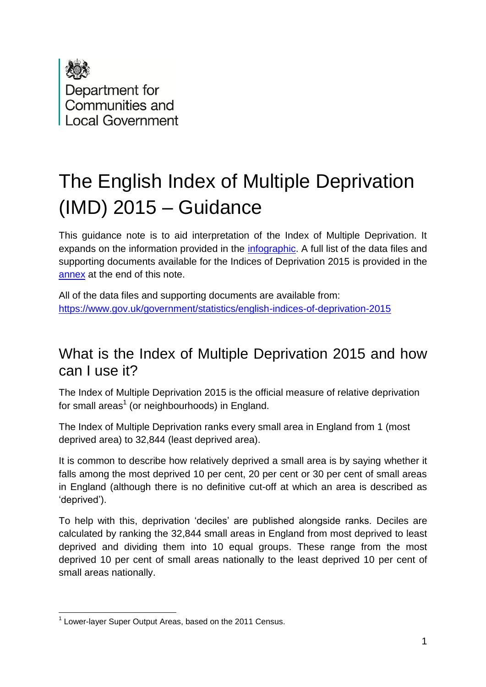

# The English Index of Multiple Deprivation (IMD) 2015 – Guidance

This guidance note is to aid interpretation of the Index of Multiple Deprivation. It expands on the information provided in the *infographic*. A full list of the data files and supporting documents available for the Indices of Deprivation 2015 is provided in the [annex](#page-5-0) at the end of this note.

All of the data files and supporting documents are available from: <https://www.gov.uk/government/statistics/english-indices-of-deprivation-2015>

### What is the Index of Multiple Deprivation 2015 and how can I use it?

The Index of Multiple Deprivation 2015 is the official measure of relative deprivation for small areas<sup>1</sup> (or neighbourhoods) in England.

The Index of Multiple Deprivation ranks every small area in England from 1 (most deprived area) to 32,844 (least deprived area).

It is common to describe how relatively deprived a small area is by saying whether it falls among the most deprived 10 per cent, 20 per cent or 30 per cent of small areas in England (although there is no definitive cut-off at which an area is described as 'deprived').

To help with this, deprivation 'deciles' are published alongside ranks. Deciles are calculated by ranking the 32,844 small areas in England from most deprived to least deprived and dividing them into 10 equal groups. These range from the most deprived 10 per cent of small areas nationally to the least deprived 10 per cent of small areas nationally.

<sup>1</sup> <sup>1</sup> Lower-layer Super Output Areas, based on the 2011 Census.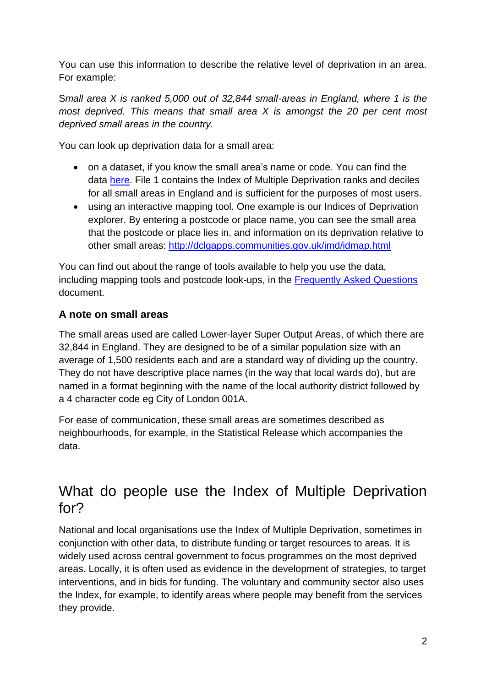You can use this information to describe the relative level of deprivation in an area. For example:

S*mall area X is ranked 5,000 out of 32,844 small-areas in England, where 1 is the most deprived. This means that small area X is amongst the 20 per cent most deprived small areas in the country.* 

You can look up deprivation data for a small area:

- on a dataset, if you know the small area's name or code. You can find the data [here.](https://www.gov.uk/government/statistics/english-indices-of-deprivation-2015) File 1 contains the Index of Multiple Deprivation ranks and deciles for all small areas in England and is sufficient for the purposes of most users.
- using an interactive mapping tool. One example is our Indices of Deprivation explorer. By entering a postcode or place name, you can see the small area that the postcode or place lies in, and information on its deprivation relative to other small areas:<http://dclgapps.communities.gov.uk/imd/idmap.html>

You can find out about the range of tools available to help you use the data, including mapping tools and postcode look-ups, in the [Frequently Asked Questions](https://www.gov.uk/government/statistics/english-indices-of-deprivation-2015) document.

#### **A note on small areas**

The small areas used are called Lower-layer Super Output Areas, of which there are 32,844 in England. They are designed to be of a similar population size with an average of 1,500 residents each and are a standard way of dividing up the country. They do not have descriptive place names (in the way that local wards do), but are named in a format beginning with the name of the local authority district followed by a 4 character code eg City of London 001A.

For ease of communication, these small areas are sometimes described as neighbourhoods, for example, in the Statistical Release which accompanies the data.

### What do people use the Index of Multiple Deprivation for?

National and local organisations use the Index of Multiple Deprivation, sometimes in conjunction with other data, to distribute funding or target resources to areas. It is widely used across central government to focus programmes on the most deprived areas. Locally, it is often used as evidence in the development of strategies, to target interventions, and in bids for funding. The voluntary and community sector also uses the Index, for example, to identify areas where people may benefit from the services they provide.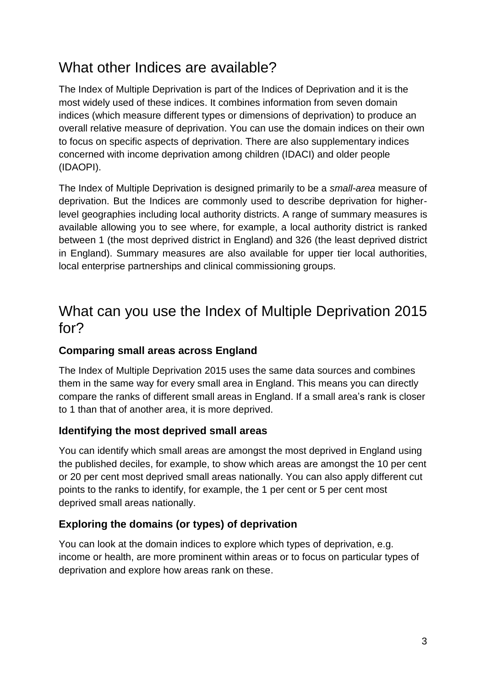### What other Indices are available?

The Index of Multiple Deprivation is part of the Indices of Deprivation and it is the most widely used of these indices. It combines information from seven domain indices (which measure different types or dimensions of deprivation) to produce an overall relative measure of deprivation. You can use the domain indices on their own to focus on specific aspects of deprivation. There are also supplementary indices concerned with income deprivation among children (IDACI) and older people (IDAOPI).

The Index of Multiple Deprivation is designed primarily to be a *small-area* measure of deprivation. But the Indices are commonly used to describe deprivation for higherlevel geographies including local authority districts. A range of summary measures is available allowing you to see where, for example, a local authority district is ranked between 1 (the most deprived district in England) and 326 (the least deprived district in England). Summary measures are also available for upper tier local authorities, local enterprise partnerships and clinical commissioning groups.

### What can you use the Index of Multiple Deprivation 2015 for?

#### **Comparing small areas across England**

The Index of Multiple Deprivation 2015 uses the same data sources and combines them in the same way for every small area in England. This means you can directly compare the ranks of different small areas in England. If a small area's rank is closer to 1 than that of another area, it is more deprived.

#### **Identifying the most deprived small areas**

You can identify which small areas are amongst the most deprived in England using the published deciles, for example, to show which areas are amongst the 10 per cent or 20 per cent most deprived small areas nationally. You can also apply different cut points to the ranks to identify, for example, the 1 per cent or 5 per cent most deprived small areas nationally.

#### **Exploring the domains (or types) of deprivation**

You can look at the domain indices to explore which types of deprivation, e.g. income or health, are more prominent within areas or to focus on particular types of deprivation and explore how areas rank on these.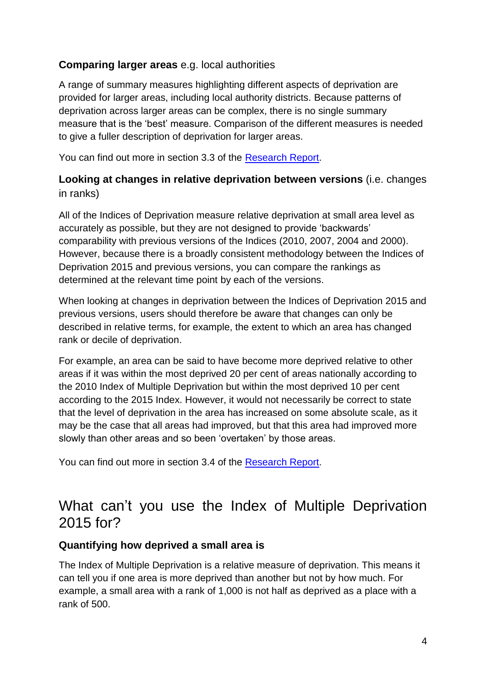#### **Comparing larger areas** e.g. local authorities

A range of summary measures highlighting different aspects of deprivation are provided for larger areas, including local authority districts. Because patterns of deprivation across larger areas can be complex, there is no single summary measure that is the 'best' measure. Comparison of the different measures is needed to give a fuller description of deprivation for larger areas.

You can find out more in section 3.3 of the [Research Report.](https://www.gov.uk/government/publications/english-indices-of-deprivation-2015-research-report)

#### **Looking at changes in relative deprivation between versions** (i.e. changes in ranks)

All of the Indices of Deprivation measure relative deprivation at small area level as accurately as possible, but they are not designed to provide 'backwards' comparability with previous versions of the Indices (2010, 2007, 2004 and 2000). However, because there is a broadly consistent methodology between the Indices of Deprivation 2015 and previous versions, you can compare the rankings as determined at the relevant time point by each of the versions.

When looking at changes in deprivation between the Indices of Deprivation 2015 and previous versions, users should therefore be aware that changes can only be described in relative terms, for example, the extent to which an area has changed rank or decile of deprivation.

For example, an area can be said to have become more deprived relative to other areas if it was within the most deprived 20 per cent of areas nationally according to the 2010 Index of Multiple Deprivation but within the most deprived 10 per cent according to the 2015 Index. However, it would not necessarily be correct to state that the level of deprivation in the area has increased on some absolute scale, as it may be the case that all areas had improved, but that this area had improved more slowly than other areas and so been 'overtaken' by those areas.

You can find out more in section 3.4 of the [Research Report.](https://www.gov.uk/government/publications/english-indices-of-deprivation-2015-research-report)

### What can't you use the Index of Multiple Deprivation 2015 for?

#### **Quantifying how deprived a small area is**

The Index of Multiple Deprivation is a relative measure of deprivation. This means it can tell you if one area is more deprived than another but not by how much. For example, a small area with a rank of 1,000 is not half as deprived as a place with a rank of 500.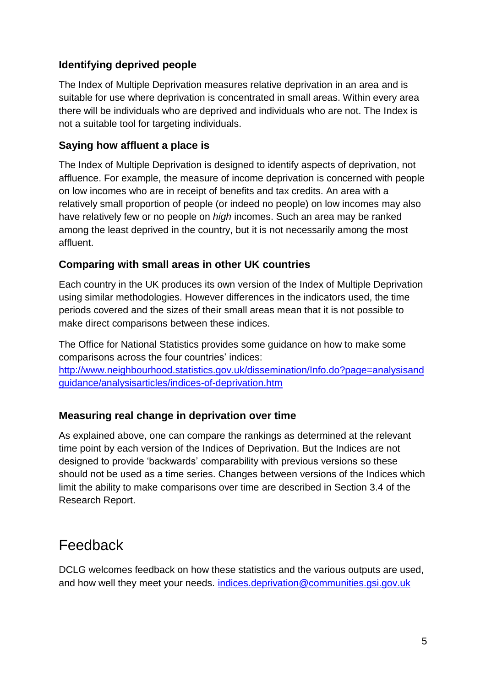#### **Identifying deprived people**

The Index of Multiple Deprivation measures relative deprivation in an area and is suitable for use where deprivation is concentrated in small areas. Within every area there will be individuals who are deprived and individuals who are not. The Index is not a suitable tool for targeting individuals.

#### **Saying how affluent a place is**

The Index of Multiple Deprivation is designed to identify aspects of deprivation, not affluence. For example, the measure of income deprivation is concerned with people on low incomes who are in receipt of benefits and tax credits. An area with a relatively small proportion of people (or indeed no people) on low incomes may also have relatively few or no people on *high* incomes. Such an area may be ranked among the least deprived in the country, but it is not necessarily among the most affluent.

#### **Comparing with small areas in other UK countries**

Each country in the UK produces its own version of the Index of Multiple Deprivation using similar methodologies. However differences in the indicators used, the time periods covered and the sizes of their small areas mean that it is not possible to make direct comparisons between these indices.

The Office for National Statistics provides some guidance on how to make some comparisons across the four countries' indices: [http://www.neighbourhood.statistics.gov.uk/dissemination/Info.do?page=analysisand](http://www.neighbourhood.statistics.gov.uk/dissemination/Info.do?page=analysisandguidance/analysisarticles/indices-of-deprivation.htm) [guidance/analysisarticles/indices-of-deprivation.htm](http://www.neighbourhood.statistics.gov.uk/dissemination/Info.do?page=analysisandguidance/analysisarticles/indices-of-deprivation.htm)

#### **Measuring real change in deprivation over time**

As explained above, one can compare the rankings as determined at the relevant time point by each version of the Indices of Deprivation. But the Indices are not designed to provide 'backwards' comparability with previous versions so these should not be used as a time series. Changes between versions of the Indices which limit the ability to make comparisons over time are described in Section 3.4 of the Research Report.

### Feedback

DCLG welcomes feedback on how these statistics and the various outputs are used, and how well they meet your needs. [indices.deprivation@communities.gsi.gov.uk](mailto:indices.deprivation@communities.gsi.gov.uk)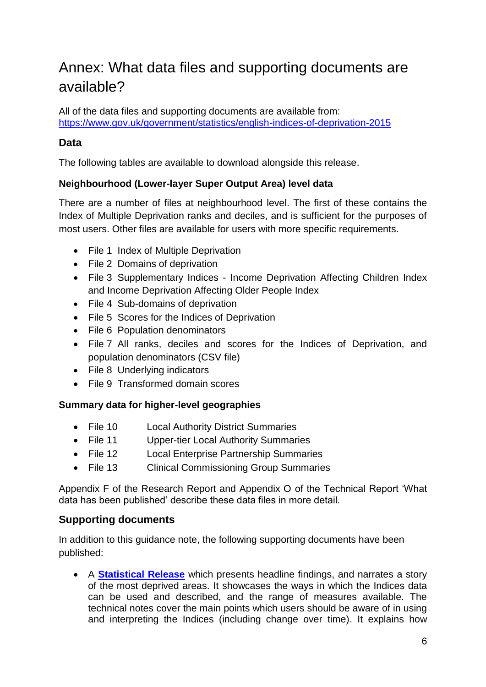## <span id="page-5-0"></span>Annex: What data files and supporting documents are available?

All of the data files and supporting documents are available from: https://www.gov.uk/government/statistics/english-indices-of-deprivation-2015

#### **Data**

The following tables are available to download alongside this release.

#### **Neighbourhood (Lower-layer Super Output Area) level data**

There are a number of files at neighbourhood level. The first of these contains the Index of Multiple Deprivation ranks and deciles, and is sufficient for the purposes of most users. Other files are available for users with more specific requirements.

- File 1 Index of Multiple Deprivation
- File 2 Domains of deprivation
- File 3 Supplementary Indices Income Deprivation Affecting Children Index and Income Deprivation Affecting Older People Index
- File 4 Sub-domains of deprivation
- File 5 Scores for the Indices of Deprivation
- File 6 Population denominators
- File 7 All ranks, deciles and scores for the Indices of Deprivation, and population denominators (CSV file)
- File 8 Underlying indicators
- File 9 Transformed domain scores

#### **Summary data for higher-level geographies**

- File 10 Local Authority District Summaries
- File 11 Upper-tier Local Authority Summaries
- File 12 Local Enterprise Partnership Summaries
- File 13 Clinical Commissioning Group Summaries

Appendix F of the Research Report and Appendix O of the Technical Report 'What data has been published' describe these data files in more detail.

#### **Supporting documents**

In addition to this guidance note, the following supporting documents have been published:

 A **[Statistical Release](https://www.gov.uk/government/statistics/english-indices-of-deprivation-2015)** which presents headline findings, and narrates a story of the most deprived areas. It showcases the ways in which the Indices data can be used and described, and the range of measures available. The technical notes cover the main points which users should be aware of in using and interpreting the Indices (including change over time). It explains how